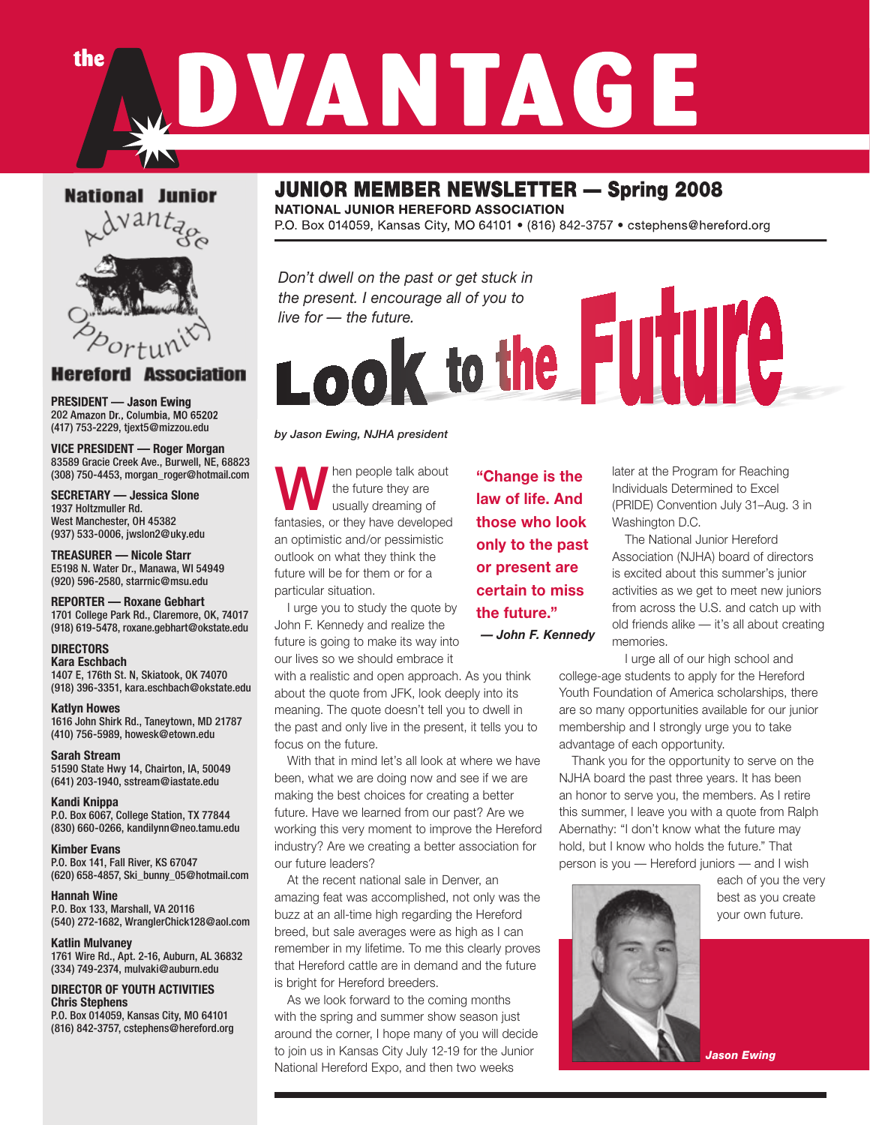### **National Junior**

the



#### **Association Hereford**

**PRESIDENT — Jason Ewing**  202 Amazon Dr., Columbia, MO 65202 (417) 753-2229, tjext5@mizzou.edu

**VICE PRESIDENT — Roger Morgan** 83589 Gracie Creek Ave., Burwell, NE, 68823 (308) 750-4453, morgan\_roger@hotmail.com

**SECRETARY — Jessica Slone** 1937 Holtzmuller Rd. West Manchester, OH 45382 (937) 533-0006, jwslon2@uky.edu

**TREASURER — Nicole Starr** E5198 N. Water Dr., Manawa, WI 54949 (920) 596-2580, starrnic@msu.edu

**REPORTER — Roxane Gebhart** 1701 College Park Rd., Claremore, OK, 74017 (918) 619-5478, roxane.gebhart@okstate.edu

#### **DIRECTORS**

**Kara Eschbach** 1407 E, 176th St. N, Skiatook, OK 74070 (918) 396-3351, kara.eschbach@okstate.edu

**Katlyn Howes** 1616 John Shirk Rd., Taneytown, MD 21787 (410) 756-5989, howesk@etown.edu

**Sarah Stream** 51590 State Hwy 14, Chairton, IA, 50049 (641) 203-1940, sstream@iastate.edu

**Kandi Knippa** P.O. Box 6067, College Station, TX 77844 (830) 660-0266, kandilynn@neo.tamu.edu

**Kimber Evans** P.O. Box 141, Fall River, KS 67047 (620) 658-4857, Ski\_bunny\_05@hotmail.com

**Hannah Wine** P.O. Box 133, Marshall, VA 20116 (540) 272-1682, WranglerChick128@aol.com

**Katlin Mulvaney** 1761 Wire Rd., Apt. 2-16, Auburn, AL 36832 (334) 749-2374, mulvaki@auburn.edu

**DIRECTOR OF YOUTH ACTIVITIES Chris Stephens** P.O. Box 014059, Kansas City, MO 64101

(816) 842-3757, cstephens@hereford.org

### JUNIOR MEMBER NEWSLETTER — Spring 2008

DVANTAGE

**NATIONAL JUNIOR HEREFORD ASSOCIATION** P.O. Box 014059, Kansas City, MO 64101 • (816) 842-3757 • cstephens@hereford.org

*Don't dwell on the past or get stuck in the present. I encourage all of you to live for — the future.*<br>Look to the FUUIC

### *by Jason Ewing, NJHA president*

hen people talk about the future they are usually dreaming of fantasies, or they have developed an optimistic and/or pessimistic outlook on what they think the future will be for them or for a particular situation.

I urge you to study the quote by John F. Kennedy and realize the future is going to make its way into our lives so we should embrace it

with a realistic and open approach. As you think about the quote from JFK, look deeply into its meaning. The quote doesn't tell you to dwell in the past and only live in the present, it tells you to focus on the future.

With that in mind let's all look at where we have been, what we are doing now and see if we are making the best choices for creating a better future. Have we learned from our past? Are we working this very moment to improve the Hereford industry? Are we creating a better association for our future leaders?

At the recent national sale in Denver, an amazing feat was accomplished, not only was the buzz at an all-time high regarding the Hereford breed, but sale averages were as high as I can remember in my lifetime. To me this clearly proves that Hereford cattle are in demand and the future is bright for Hereford breeders.

As we look forward to the coming months with the spring and summer show season just around the corner, I hope many of you will decide to join us in Kansas City July 12-19 for the Junior National Hereford Expo, and then two weeks

**"Change is the law of life. And those who look only to the past or present are certain to miss the future."** *— John F. Kennedy*  later at the Program for Reaching Individuals Determined to Excel (PRIDE) Convention July 31–Aug. 3 in Washington D.C.

The National Junior Hereford Association (NJHA) board of directors is excited about this summer's junior activities as we get to meet new juniors from across the U.S. and catch up with old friends alike — it's all about creating memories.

I urge all of our high school and college-age students to apply for the Hereford Youth Foundation of America scholarships, there are so many opportunities available for our junior membership and I strongly urge you to take advantage of each opportunity.

Thank you for the opportunity to serve on the NJHA board the past three years. It has been an honor to serve you, the members. As I retire this summer, I leave you with a quote from Ralph Abernathy: "I don't know what the future may hold, but I know who holds the future." That person is you — Hereford juniors — and I wish



each of you the very best as you create your own future.

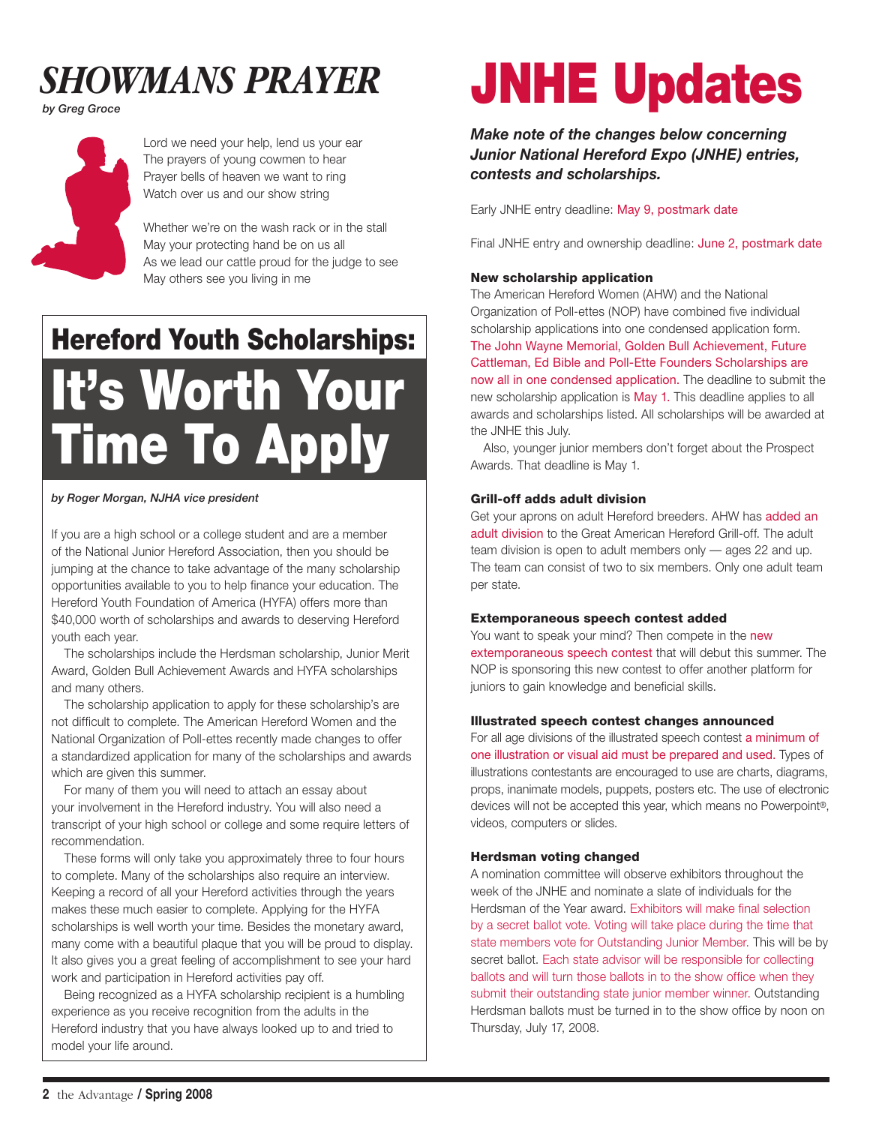

*by Greg Groce*



Lord we need your help, lend us your ear The prayers of young cowmen to hear Prayer bells of heaven we want to ring Watch over us and our show string

Whether we're on the wash rack or in the stall May your protecting hand be on us all As we lead our cattle proud for the judge to see May others see you living in me

# Hereford Youth Scholarships: It's Worth Your Time To Apply

### *by Roger Morgan, NJHA vice president*

If you are a high school or a college student and are a member of the National Junior Hereford Association, then you should be jumping at the chance to take advantage of the many scholarship opportunities available to you to help finance your education. The Hereford Youth Foundation of America (HYFA) offers more than \$40,000 worth of scholarships and awards to deserving Hereford youth each year.

The scholarships include the Herdsman scholarship, Junior Merit Award, Golden Bull Achievement Awards and HYFA scholarships and many others.

The scholarship application to apply for these scholarship's are not difficult to complete. The American Hereford Women and the National Organization of Poll-ettes recently made changes to offer a standardized application for many of the scholarships and awards which are given this summer.

For many of them you will need to attach an essay about your involvement in the Hereford industry. You will also need a transcript of your high school or college and some require letters of recommendation.

These forms will only take you approximately three to four hours to complete. Many of the scholarships also require an interview. Keeping a record of all your Hereford activities through the years makes these much easier to complete. Applying for the HYFA scholarships is well worth your time. Besides the monetary award, many come with a beautiful plaque that you will be proud to display. It also gives you a great feeling of accomplishment to see your hard work and participation in Hereford activities pay off.

Being recognized as a HYFA scholarship recipient is a humbling experience as you receive recognition from the adults in the Hereford industry that you have always looked up to and tried to model your life around.

# JNHE Updates

*Make note of the changes below concerning Junior National Hereford Expo (JNHE) entries, contests and scholarships.*

Early JNHE entry deadline: May 9, postmark date

Final JNHE entry and ownership deadline: June 2, postmark date

### New scholarship application

The American Hereford Women (AHW) and the National Organization of Poll-ettes (NOP) have combined five individual scholarship applications into one condensed application form. The John Wayne Memorial, Golden Bull Achievement, Future Cattleman, Ed Bible and Poll-Ette Founders Scholarships are now all in one condensed application. The deadline to submit the new scholarship application is May 1. This deadline applies to all awards and scholarships listed. All scholarships will be awarded at the JNHE this July.

Also, younger junior members don't forget about the Prospect Awards. That deadline is May 1.

### Grill-off adds adult division

Get your aprons on adult Hereford breeders. AHW has added an adult division to the Great American Hereford Grill-off. The adult team division is open to adult members only — ages 22 and up. The team can consist of two to six members. Only one adult team per state.

### Extemporaneous speech contest added

You want to speak your mind? Then compete in the new extemporaneous speech contest that will debut this summer. The NOP is sponsoring this new contest to offer another platform for juniors to gain knowledge and beneficial skills.

#### Illustrated speech contest changes announced

For all age divisions of the illustrated speech contest a minimum of one illustration or visual aid must be prepared and used. Types of illustrations contestants are encouraged to use are charts, diagrams, props, inanimate models, puppets, posters etc. The use of electronic devices will not be accepted this year, which means no Powerpoint®, videos, computers or slides.

### Herdsman voting changed

A nomination committee will observe exhibitors throughout the week of the JNHE and nominate a slate of individuals for the Herdsman of the Year award. Exhibitors will make final selection by a secret ballot vote. Voting will take place during the time that state members vote for Outstanding Junior Member. This will be by secret ballot. Each state advisor will be responsible for collecting ballots and will turn those ballots in to the show office when they submit their outstanding state junior member winner. Outstanding Herdsman ballots must be turned in to the show office by noon on Thursday, July 17, 2008.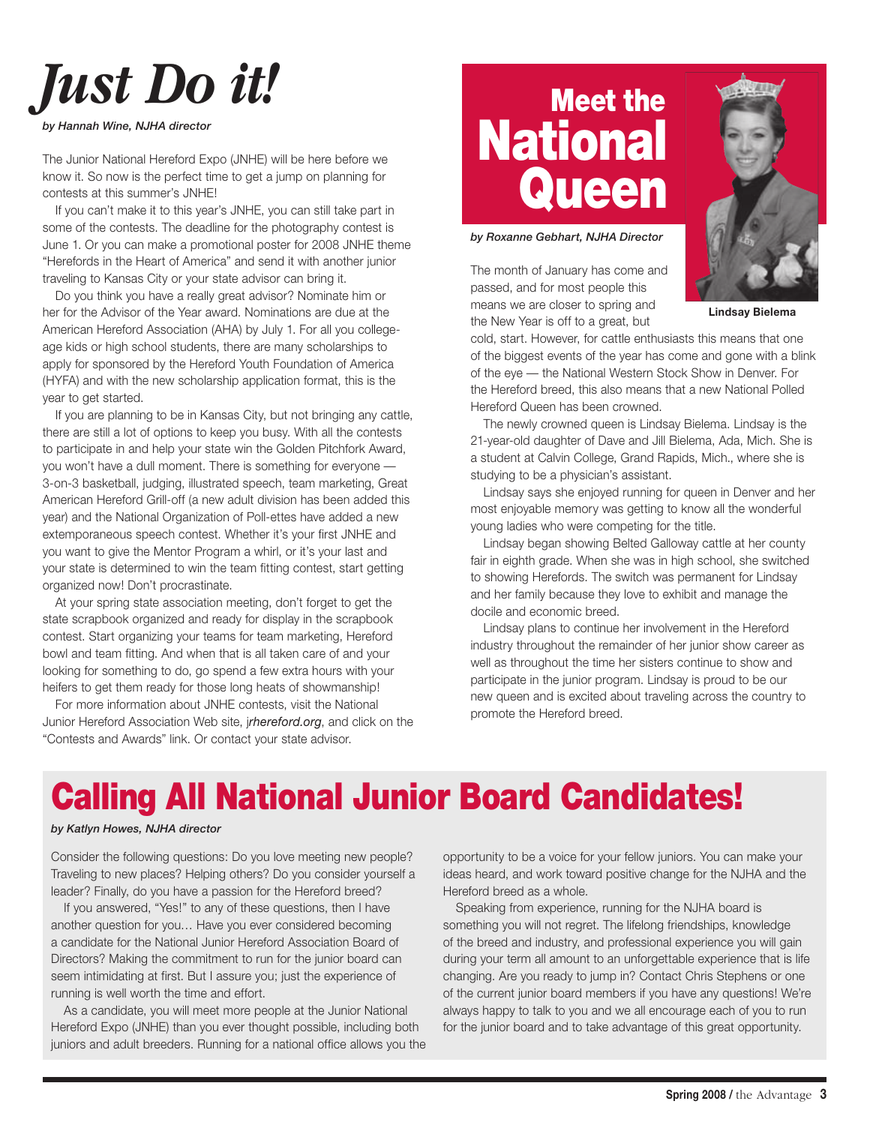# *Just Do it!*

*by Hannah Wine, NJHA director*

The Junior National Hereford Expo (JNHE) will be here before we know it. So now is the perfect time to get a jump on planning for contests at this summer's JNHE!

If you can't make it to this year's JNHE, you can still take part in some of the contests. The deadline for the photography contest is June 1. Or you can make a promotional poster for 2008 JNHE theme "Herefords in the Heart of America" and send it with another junior traveling to Kansas City or your state advisor can bring it.

Do you think you have a really great advisor? Nominate him or her for the Advisor of the Year award. Nominations are due at the American Hereford Association (AHA) by July 1. For all you collegeage kids or high school students, there are many scholarships to apply for sponsored by the Hereford Youth Foundation of America (HYFA) and with the new scholarship application format, this is the year to get started.

If you are planning to be in Kansas City, but not bringing any cattle, there are still a lot of options to keep you busy. With all the contests to participate in and help your state win the Golden Pitchfork Award, you won't have a dull moment. There is something for everyone — 3-on-3 basketball, judging, illustrated speech, team marketing, Great American Hereford Grill-off (a new adult division has been added this year) and the National Organization of Poll-ettes have added a new extemporaneous speech contest. Whether it's your first JNHE and you want to give the Mentor Program a whirl, or it's your last and your state is determined to win the team fitting contest, start getting organized now! Don't procrastinate.

At your spring state association meeting, don't forget to get the state scrapbook organized and ready for display in the scrapbook contest. Start organizing your teams for team marketing, Hereford bowl and team fitting. And when that is all taken care of and your looking for something to do, go spend a few extra hours with your heifers to get them ready for those long heats of showmanship!

For more information about JNHE contests, visit the National Junior Hereford Association Web site, j*rhereford.org*, and click on the "Contests and Awards" link. Or contact your state advisor.

# Meet the **National Queen**

*by Roxanne Gebhart, NJHA Director*

The month of January has come and passed, and for most people this means we are closer to spring and the New Year is off to a great, but



**Lindsay Bielema**

cold, start. However, for cattle enthusiasts this means that one of the biggest events of the year has come and gone with a blink of the eye — the National Western Stock Show in Denver. For the Hereford breed, this also means that a new National Polled Hereford Queen has been crowned.

The newly crowned queen is Lindsay Bielema. Lindsay is the 21-year-old daughter of Dave and Jill Bielema, Ada, Mich. She is a student at Calvin College, Grand Rapids, Mich., where she is studying to be a physician's assistant.

Lindsay says she enjoyed running for queen in Denver and her most enjoyable memory was getting to know all the wonderful young ladies who were competing for the title.

Lindsay began showing Belted Galloway cattle at her county fair in eighth grade. When she was in high school, she switched to showing Herefords. The switch was permanent for Lindsay and her family because they love to exhibit and manage the docile and economic breed.

Lindsay plans to continue her involvement in the Hereford industry throughout the remainder of her junior show career as well as throughout the time her sisters continue to show and participate in the junior program. Lindsay is proud to be our new queen and is excited about traveling across the country to promote the Hereford breed.

## Calling All National Junior Board Candidates!

### *by Katlyn Howes, NJHA director*

Consider the following questions: Do you love meeting new people? Traveling to new places? Helping others? Do you consider yourself a leader? Finally, do you have a passion for the Hereford breed?

If you answered, "Yes!" to any of these questions, then I have another question for you… Have you ever considered becoming a candidate for the National Junior Hereford Association Board of Directors? Making the commitment to run for the junior board can seem intimidating at first. But I assure you; just the experience of running is well worth the time and effort.

As a candidate, you will meet more people at the Junior National Hereford Expo (JNHE) than you ever thought possible, including both juniors and adult breeders. Running for a national office allows you the

opportunity to be a voice for your fellow juniors. You can make your ideas heard, and work toward positive change for the NJHA and the Hereford breed as a whole.

Speaking from experience, running for the NJHA board is something you will not regret. The lifelong friendships, knowledge of the breed and industry, and professional experience you will gain during your term all amount to an unforgettable experience that is life changing. Are you ready to jump in? Contact Chris Stephens or one of the current junior board members if you have any questions! We're always happy to talk to you and we all encourage each of you to run for the junior board and to take advantage of this great opportunity.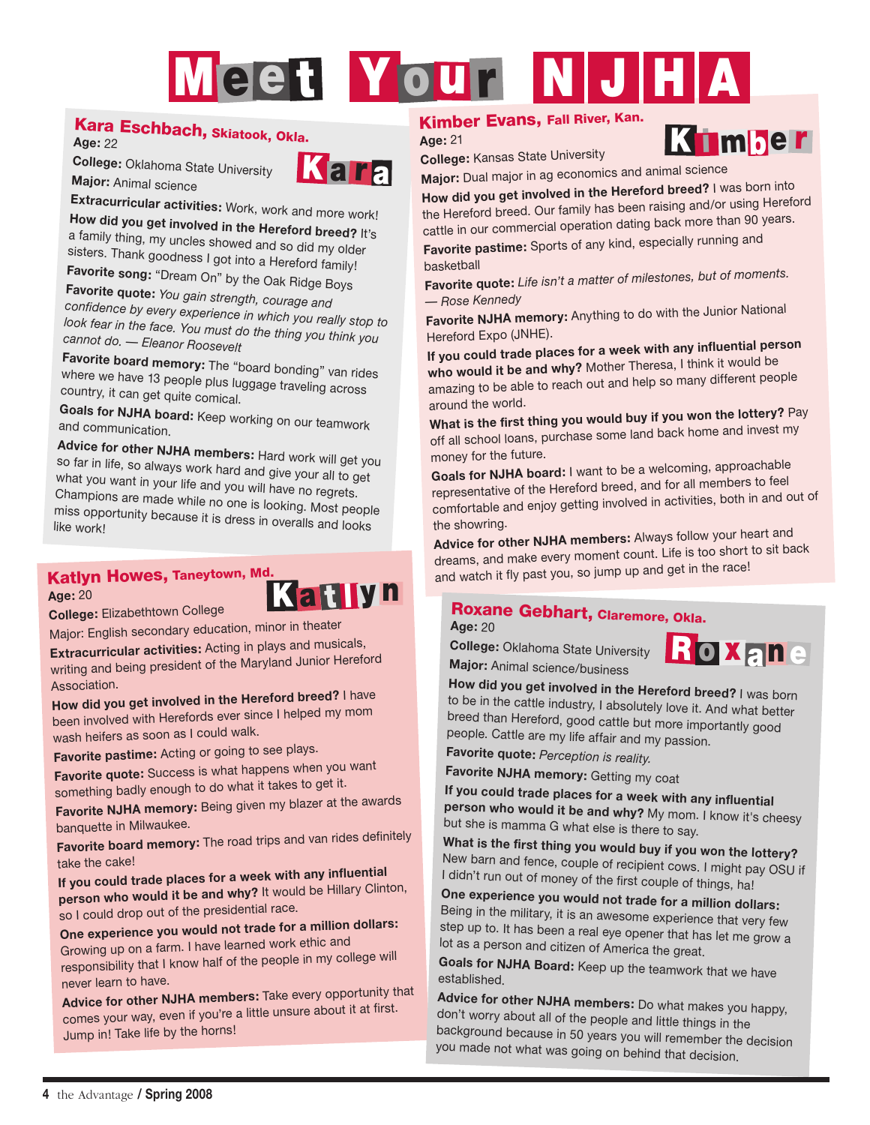# Meet Your NJH

### Kara Eschbach, Skiatook, Okla.

**Age:** 22

**College:** Oklahoma State University **Major:** Animal science



**Extracurricular activities:** Work, work and more work! **How did you get involved in the Hereford breed?** It's a family thing, my uncles showed and so did my older sisters. Thank goodness I got into a Hereford family!

**Favorite song:** "Dream On" by the Oak Ridge Boys

**Favorite quote:** *You gain strength, courage and confidence by every experience in which you really stop to look fear in the face. You must do the thing you think you cannot do. — Eleanor Roosevelt*

**Favorite board memory:** The "board bonding" van rides where we have 13 people plus luggage traveling across country, it can get quite comical.

**Goals for NJHA board:** Keep working on our teamwork and communication.

**Advice for other NJHA members:** Hard work will get you so far in life, so always work hard and give your all to get what you want in your life and you will have no regrets. Champions are made while no one is looking. Most people miss opportunity because it is dress in overalls and looks<br>like work!

### Katlyn Howes, Taneytown, Md. **Katilyn**

**Age:** 20

**College:** Elizabethtown College

Major: English secondary education, minor in theater

**Extracurricular activities:** Acting in plays and musicals, writing and being president of the Maryland Junior Hereford Association.

**How did you get involved in the Hereford breed?** I have been involved with Herefords ever since I helped my mom wash heifers as soon as I could walk.

**Favorite pastime:** Acting or going to see plays.

**Favorite quote:** Success is what happens when you wan<sup>t</sup> something badly enough to do what it takes to get it.

**Favorite NJHA memory:** Being given my blazer at the awards banquette in Milwaukee.

**Favorite board memory:** The road trips and van rides definitely take the cake!

**If you could trade places for a week with any influential person who would it be and why?** It would be Hillary Clinton, so I could drop out of the presidential race.

**One experience you would not trade for a million dollars:**

Growing up on a farm. I have learned work ethic and responsibility that I know half of the people in my college will never learn to have.

**Advice for other NJHA members:** Take every opportunity that comes your way, even if you're a little unsure about it at first. Jump in! Take life by the horns!

### Kimber Evans, Fall River, Kan.

**Age:** 21

**College:** Kansas State University **Major:** Dual major in ag economics and animal science

**How did you get involved in the Hereford breed?** I was born into the Hereford breed. Our family has been raising and/or using Hereford cattle in our commercial operation dating back more than 90 years.

**Favorite pastime:** Sports of any kind, especially running and basketball

**Favorite quote:** *Life isn't a matter of milestones, but of moments. — Rose Kennedy*

**Favorite NJHA memory:** Anything to do with the Junior National Hereford Expo (JNHE).

**If you could trade places for a week with any influential person who would it be and why?** Mother Theresa, I think it would be amazing to be able to reach out and help so many different people around the world.

**What is the first thing you would buy if you won the lottery?** Pay off all school loans, purchase some land back home and invest my money for the future.

**Goals for NJHA board:** I want to be a welcoming, approachable representative of the Hereford breed, and for all members to feel comfortable and enjoy getting involved in activities, both in and out of the showring.

**Advice for other NJHA members:** Always follow your heart and dreams, and make every moment count. Life is too short to sit back and watch it fly past you, so jump up and get in the race!

### Roxane Gebhart, Claremore, Okla.

**Age:** 20

**College:** Oklahoma State University **Major:** Animal science/business



K i mber

**How did you get involved in the Hereford breed?** I was born to be in the cattle industry, I absolutely love it. And what better breed than Hereford, good cattle but more importantly good people. Cattle are my life affair and my passion.

**Favorite quote:** *Perception is reality.*

**Favorite NJHA memory:** Getting my coat

**If you could trade places for a week with any influential person who would it be and why?** My mom. I know it's cheesy but she is mamma G what else is there to say.

**What is the first thing you would buy if you won the lottery?** New barn and fence, couple of recipient cows. I might pay OSU if I didn't run out of money of the first couple of things, ha!

**One experience you would not trade for a million dollars:** Being in the military, it is an awesome experience that very few step up to. It has been a real eye opener that has let me grow a lot as a person and citizen of America the great.

**Goals for NJHA Board:** Keep up the teamwork that we have established.

**Advice for other NJHA members:** Do what makes you happy, don't worry about all of the people and little things in the background because in 50 years you will remember the decision you made not what was going on behind that decision.

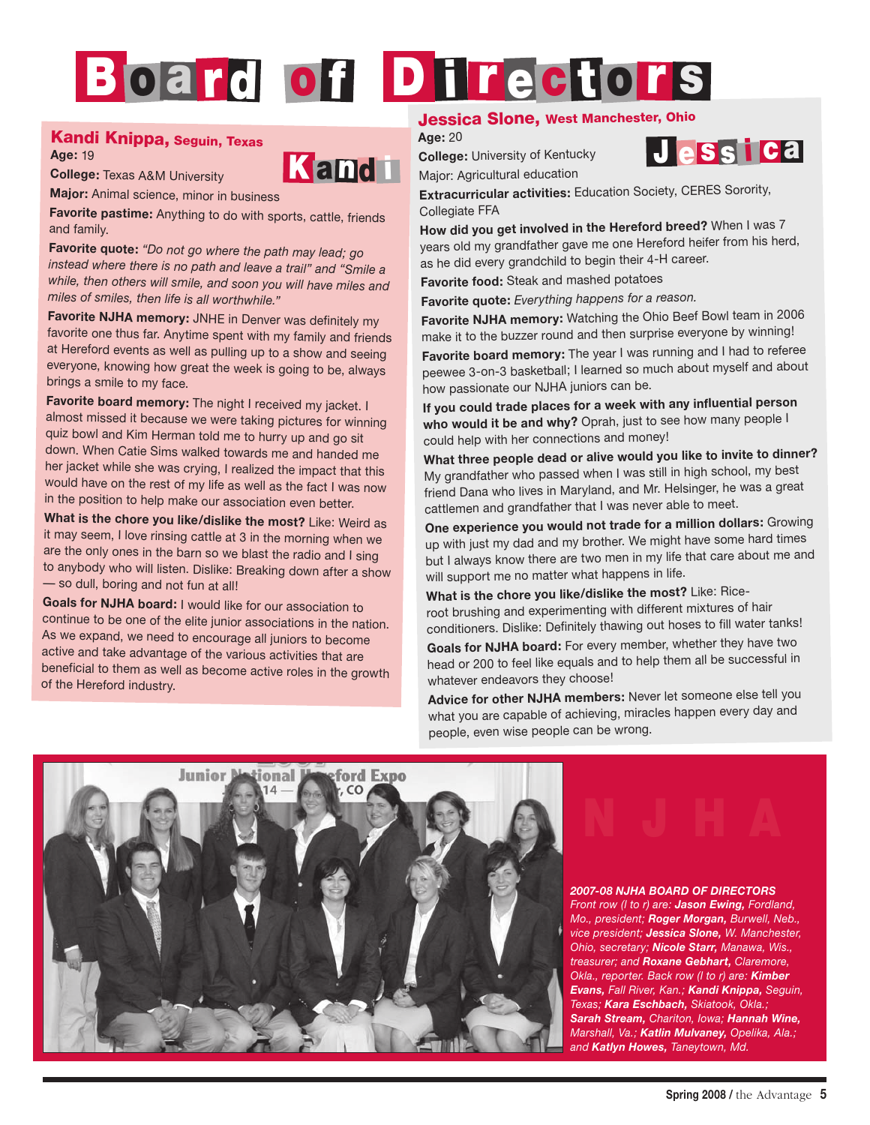# Board of Directors

### Kandi Knippa, Seguin, Texas

**College:** Texas A&M University

**Age:** 19



**Major:** Animal science, minor in business

**Favorite pastime:** Anything to do with sports, cattle, friends and family.

**Favorite quote:** *"Do not go where the path may lead; go instead where there is no path and leave a trail" and "Smile a while, then others will smile, and soon you will have miles and miles of smiles, then life is all worthwhile."*

**Favorite NJHA memory:** JNHE in Denver was definitely my favorite one thus far. Anytime spent with my family and friends at Hereford events as well as pulling up to a show and seeing everyone, knowing how great the week is going to be, always brings a smile to my face.

**Favorite board memory:** The night I received my jacket. I almost missed it because we were taking pictures for winning quiz bowl and Kim Herman told me to hurry up and go sit down. When Catie Sims walked towards me and handed me her jacket while she was crying, I realized the impact that this would have on the rest of my life as well as the fact I was now in the position to help make our association even better.

**What is the chore you like/dislike the most?** Like: Weird as it may seem, I love rinsing cattle at 3 in the morning when we are the only ones in the barn so we blast the radio and I sing to anybody who will listen. Dislike: Breaking down after a show — so dull, boring and not fun at all!

**Goals for NJHA board:** I would like for our association to continue to be one of the elite junior associations in the nation. As we expand, we need to encourage all juniors to become active and take advantage of the various activities that are beneficial to them as well as become active roles in the growth of the Hereford industry.

### Jessica Slone, West Manchester, Ohio

**Age:** 20 **College:** University of Kentucky

Major: Agricultural education



**Extracurricular activities:** Education Society, CERES Sorority, Collegiate FFA

**How did you get involved in the Hereford breed?** When I was 7 years old my grandfather gave me one Hereford heifer from his herd, as he did every grandchild to begin their 4-H career.

**Favorite food:** Steak and mashed potatoes

**Favorite quote:** *Everything happens for a reason.*

**Favorite NJHA memory:** Watching the Ohio Beef Bowl team in 2006 make it to the buzzer round and then surprise everyone by winning!

**Favorite board memory:** The year I was running and I had to referee peewee 3-on-3 basketball; I learned so much about myself and about how passionate our NJHA juniors can be.

**If you could trade places for a week with any influential person who would it be and why?** Oprah, just to see how many people I could help with her connections and money!

**What three people dead or alive would you like to invite to dinner?** My grandfather who passed when I was still in high school, my best friend Dana who lives in Maryland, and Mr. Helsinger, he was a great cattlemen and grandfather that I was never able to meet.

**One experience you would not trade for a million dollars:** Growing up with just my dad and my brother. We might have some hard times but I always know there are two men in my life that care about me and will support me no matter what happens in life.

**What is the chore you like/dislike the most?** Like: Riceroot brushing and experimenting with different mixtures of hair conditioners. Dislike: Definitely thawing out hoses to fill water tanks!

**Goals for NJHA board:** For every member, whether they have two head or 200 to feel like equals and to help them all be successful in whatever endeavors they choose!

**Advice for other NJHA members:** Never let someone else tell you what you are capable of achieving, miracles happen every day and people, even wise people can be wrong.



# N J H A

### *2007-08 NJHA BOARD OF DIRECTORS*

*Front row (l to r) are: Jason Ewing, Fordland, Mo., president; Roger Morgan, Burwell, Neb., vice president; Jessica Slone, W. Manchester, Ohio, secretary; Nicole Starr, Manawa, Wis., treasurer; and Roxane Gebhart, Claremore, Okla., reporter. Back row (l to r) are: Kimber Evans, Fall River, Kan.; Kandi Knippa, Seguin, Texas; Kara Eschbach, Skiatook, Okla.; Sarah Stream, Chariton, Iowa; Hannah Wine, Marshall, Va.; Katlin Mulvaney, Opelika, Ala.; and Katlyn Howes, Taneytown, Md.*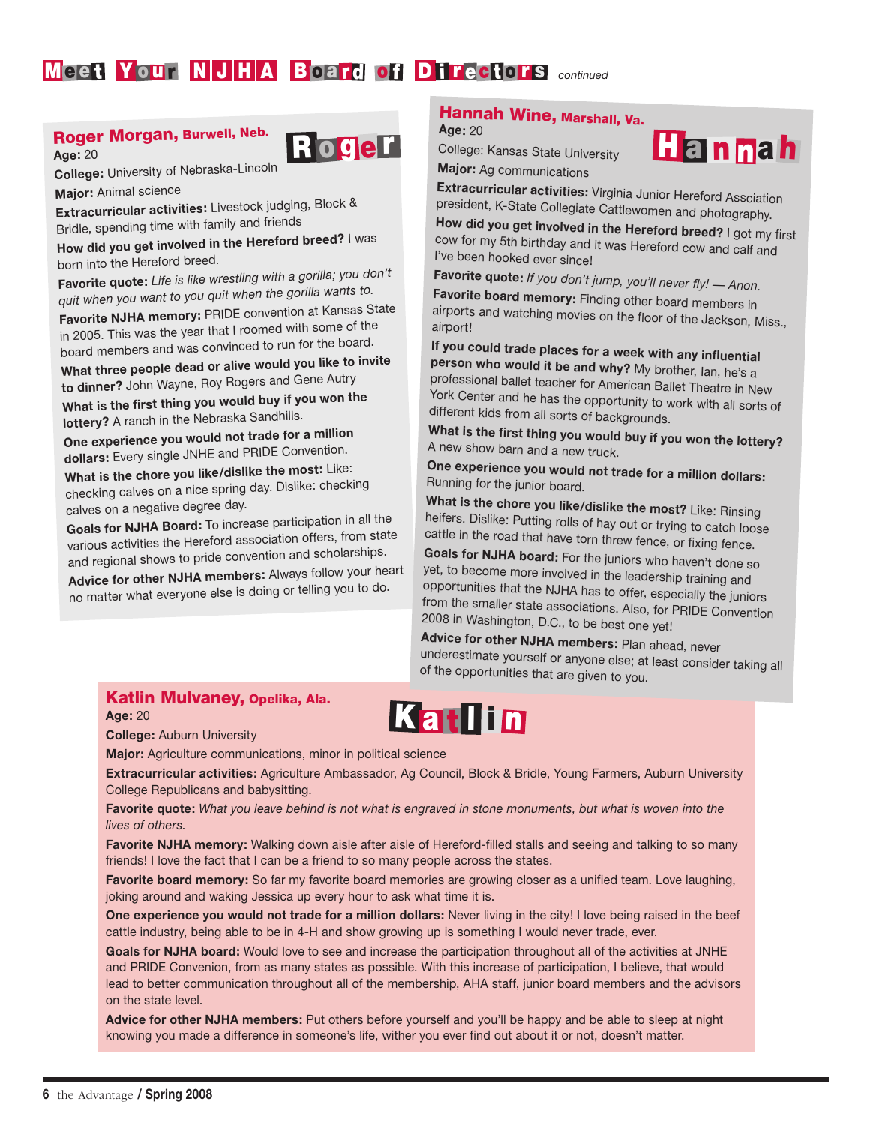### M e e t Y our N J H A B oard of D i rectors *continued*

### Roger Morgan, Burwell, Neb.



**College:** University of Nebraska-Lincoln

**Major:** Animal science

**Age:** 20

**Extracurricular activities:** Livestock judging, Block & Bridle, spending time with family and friends

**How did you get involved in the Hereford breed?** I was born into the Hereford breed.

**Favorite quote:** *Life is like wrestling with a gorilla; you don't quit when you want to you quit when the gorilla wants to.*

**Favorite NJHA memory:** PRIDE convention at Kansas State in 2005. This was the year that I roomed with some of the board members and was convinced to run for the board.

**What three people dead or alive would you like to invite to dinner?** John Wayne, Roy Rogers and Gene Autry

**What is the first thing you would buy if you won the lottery?** A ranch in the Nebraska Sandhills.

**One experience you would not trade for a million dollars:** Every single JNHE and PRIDE Convention.

**What is the chore you like/dislike the most:** Like: checking calves on a nice spring day. Dislike: checking calves on a negative degree day.

**Goals for NJHA Board:** To increase participation in all the various activities the Hereford association offers, from state and regional shows to pride convention and scholarships.

**Advice for other NJHA members:** Always follow your heart no matter what everyone else is doing or telling you to do.

### Hannah Wine, Marshall, Va. **Age:** 20

College: Kansas State University **Major:** Ag communications



**Extracurricular activities:** Virginia Junior Hereford Assciation president, K-State Collegiate Cattlewomen and photography.

**How did you get involved in the Hereford breed?** I got my first cow for my 5th birthday and it was Hereford cow and calf and I've been hooked ever since!

**Favorite quote:** *If you don't jump, you'll never fly! — Anon.* **Favorite board memory:** Finding other board members in airports and watching movies on the floor of the Jackson, Miss., airport!

**If you could trade places for a week with any influential person who would it be and why?** My brother, Ian, he's a professional ballet teacher for American Ballet Theatre in New York Center and he has the opportunity to work with all sorts of different kids from all sorts of backgrounds.

**What is the first thing you would buy if you won the lottery?** A new show barn and a new truck.

**One experience you would not trade for a million dollars:** Running for the junior board.

**What is the chore you like/dislike the most?** Like: Rinsing heifers. Dislike: Putting rolls of hay out or trying to catch loose cattle in the road that have torn threw fence, or fixing fence.

**Goals for NJHA board:** For the juniors who haven't done so yet, to become more involved in the leadership training and opportunities that the NJHA has to offer, especially the juniors from the smaller state associations. Also, for PRIDE Convention 2008 in Washington, D.C., to be best one yet!

**Advice for other NJHA members:** Plan ahead, never underestimate yourself or anyone else; at least consider taking all of the opportunities that are given to you.

### Katlin Mulvaney, Opelika, Ala. **Age:** 20

**College:** Auburn University

**Major:** Agriculture communications, minor in political science

**Extracurricular activities:** Agriculture Ambassador, Ag Council, Block & Bridle, Young Farmers, Auburn University College Republicans and babysitting.

**Favorite quote:** *What you leave behind is not what is engraved in stone monuments, but what is woven into the lives of others.*

**Favorite NJHA memory:** Walking down aisle after aisle of Hereford-filled stalls and seeing and talking to so many friends! I love the fact that I can be a friend to so many people across the states.

**Favorite board memory:** So far my favorite board memories are growing closer as a unified team. Love laughing, joking around and waking Jessica up every hour to ask what time it is.

**One experience you would not trade for a million dollars:** Never living in the city! I love being raised in the beef cattle industry, being able to be in 4-H and show growing up is something I would never trade, ever.

**Goals for NJHA board:** Would love to see and increase the participation throughout all of the activities at JNHE and PRIDE Convenion, from as many states as possible. With this increase of participation, I believe, that would lead to better communication throughout all of the membership, AHA staff, junior board members and the advisors on the state level.

**Advice for other NJHA members:** Put others before yourself and you'll be happy and be able to sleep at night knowing you made a difference in someone's life, wither you ever find out about it or not, doesn't matter.

## Kat lin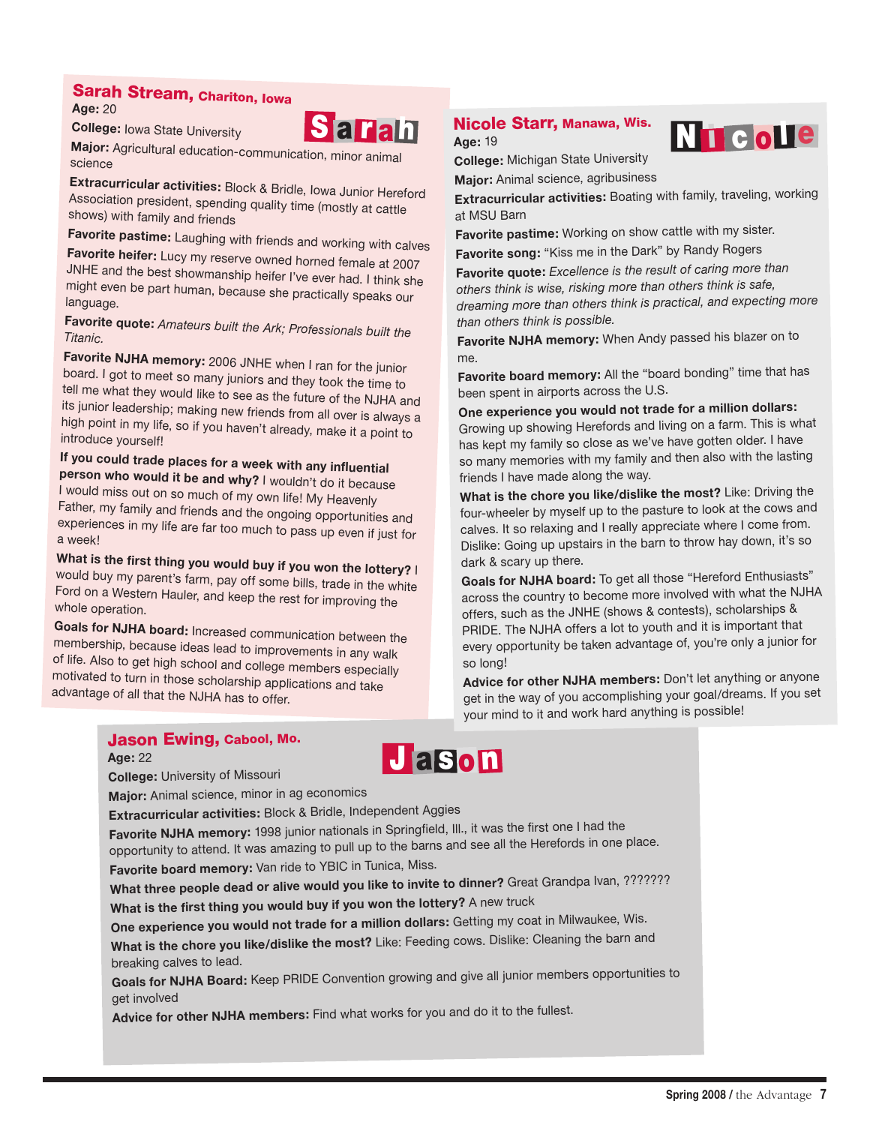### Sarah Stream, Chariton, Iowa

**Age:** 20

**College:** Iowa State University



**Major:** Agricultural education-communication, minor animal science

**Extracurricular activities:** Block & Bridle, Iowa Junior Hereford Association president, spending quality time (mostly at cattle shows) with family and friends

**Favorite pastime:** Laughing with friends and working with calves **Favorite heifer:** Lucy my reserve owned horned female at 2007 JNHE and the best showmanship heifer I've ever had. I think she might even be part human, because she practically speaks our language.

**Favorite quote:** *Amateurs built the Ark; Professionals built the Titanic.*

**Favorite NJHA memory:** 2006 JNHE when I ran for the junior board. I got to meet so many juniors and they took the time to tell me what they would like to see as the future of the NJHA and its junior leadership; making new friends from all over is always a high point in my life, so if you haven't already, make it a point to introduce yourself!

**If you could trade places for a week with any influential person who would it be and why?** I wouldn't do it because I would miss out on so much of my own life! My Heavenly Father, my family and friends and the ongoing opportunities and experiences in my life are far too much to pass up even if just for a week!

**What is the first thing you would buy if you won the lottery?** I would buy my parent's farm, pay off some bills, trade in the white Ford on a Western Hauler, and keep the rest for improving the whole operation.

**Goals for NJHA board:** Increased communication between the membership, because ideas lead to improvements in any walk of life. Also to get high school and college members especially motivated to turn in those scholarship applications and take advantage of all that the NJHA has to offer.

### Nicole Starr, Manawa, Wis.

**Age:** 19



**College:** Michigan State University **Major:** Animal science, agribusiness

**Extracurricular activities:** Boating with family, traveling, working at MSU Barn

**Favorite pastime:** Working on show cattle with my sister.

**Favorite song:** "Kiss me in the Dark" by Randy Rogers

**Favorite quote:** *Excellence is the result of caring more than others think is wise, risking more than others think is safe, dreaming more than others think is practical, and expecting more than others think is possible.*

**Favorite NJHA memory:** When Andy passed his blazer on to me.

**Favorite board memory:** All the "board bonding" time that has been spent in airports across the U.S.

**One experience you would not trade for a million dollars:** Growing up showing Herefords and living on a farm. This is what has kept my family so close as we've have gotten older. I have so many memories with my family and then also with the lasting friends I have made along the way.

**What is the chore you like/dislike the most?** Like: Driving the four-wheeler by myself up to the pasture to look at the cows and calves. It so relaxing and I really appreciate where I come from. Dislike: Going up upstairs in the barn to throw hay down, it's so dark & scary up there.

**Goals for NJHA board:** To get all those "Hereford Enthusiasts" across the country to become more involved with what the NJHA offers, such as the JNHE (shows & contests), scholarships & PRIDE. The NJHA offers a lot to youth and it is important that every opportunity be taken advantage of, you're only a junior for so long!

**Advice for other NJHA members:** Don't let anything or anyone get in the way of you accomplishing your goal/dreams. If you set your mind to it and work hard anything is possible!

### Jason Ewing, Cabool, Mo.

**Age:** 22

**College:** University of Missouri

**Major:** Animal science, minor in ag economics

**Extracurricular activities:** Block & Bridle, Independent Aggies

**Favorite NJHA memory:** 1998 junior nationals in Springfield, Ill., it was the first one I had the opportunity to attend. It was amazing to pull up to the barns and see all the Herefords in one place. **Favorite board memory:** Van ride to YBIC in Tunica, Miss.

**J** a son

**What three people dead or alive would you like to invite to dinner?** Great Grandpa Ivan, ???????

**What is the first thing you would buy if you won the lottery?** A new truck

**One experience you would not trade for a million dollars:** Getting my coat in Milwaukee, Wis.

**What is the chore you like/dislike the most?** Like: Feeding cows. Dislike: Cleaning the barn and breaking calves to lead.

**Goals for NJHA Board:** Keep PRIDE Convention growing and give all junior members opportunities to get involved

**Advice for other NJHA members:** Find what works for you and do it to the fullest.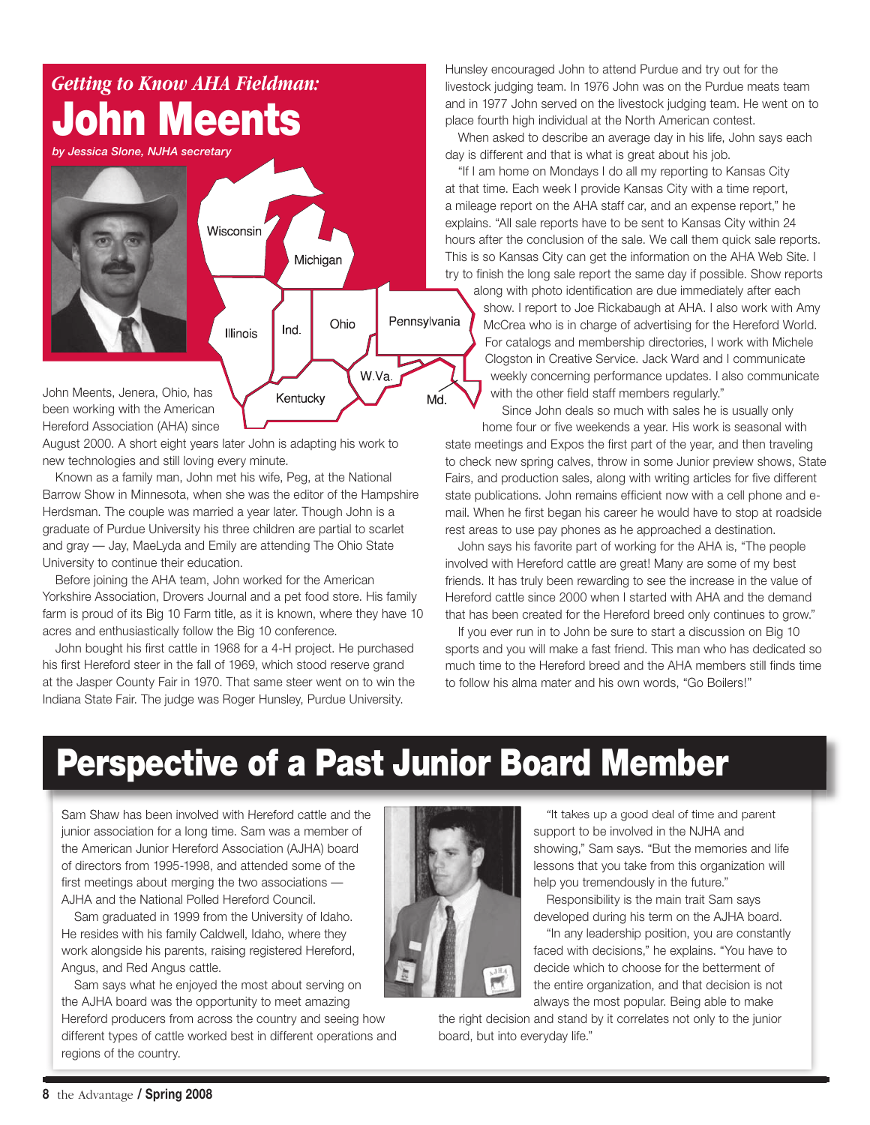

been working with the American Hereford Association (AHA) since

August 2000. A short eight years later John is adapting his work to new technologies and still loving every minute.

Known as a family man, John met his wife, Peg, at the National Barrow Show in Minnesota, when she was the editor of the Hampshire Herdsman. The couple was married a year later. Though John is a graduate of Purdue University his three children are partial to scarlet and gray — Jay, MaeLyda and Emily are attending The Ohio State University to continue their education.

Before joining the AHA team, John worked for the American Yorkshire Association, Drovers Journal and a pet food store. His family farm is proud of its Big 10 Farm title, as it is known, where they have 10 acres and enthusiastically follow the Big 10 conference.

John bought his first cattle in 1968 for a 4-H project. He purchased his first Hereford steer in the fall of 1969, which stood reserve grand at the Jasper County Fair in 1970. That same steer went on to win the Indiana State Fair. The judge was Roger Hunsley, Purdue University.

Hunsley encouraged John to attend Purdue and try out for the livestock judging team. In 1976 John was on the Purdue meats team and in 1977 John served on the livestock judging team. He went on to place fourth high individual at the North American contest.

When asked to describe an average day in his life, John says each day is different and that is what is great about his job.

"If I am home on Mondays I do all my reporting to Kansas City at that time. Each week I provide Kansas City with a time report, a mileage report on the AHA staff car, and an expense report," he explains. "All sale reports have to be sent to Kansas City within 24 hours after the conclusion of the sale. We call them quick sale reports. This is so Kansas City can get the information on the AHA Web Site. I try to finish the long sale report the same day if possible. Show reports

along with photo identification are due immediately after each show. I report to Joe Rickabaugh at AHA. I also work with Amy McCrea who is in charge of advertising for the Hereford World. For catalogs and membership directories, I work with Michele Clogston in Creative Service. Jack Ward and I communicate weekly concerning performance updates. I also communicate with the other field staff members regularly."

Since John deals so much with sales he is usually only

home four or five weekends a year. His work is seasonal with state meetings and Expos the first part of the year, and then traveling to check new spring calves, throw in some Junior preview shows, State Fairs, and production sales, along with writing articles for five different state publications. John remains efficient now with a cell phone and email. When he first began his career he would have to stop at roadside rest areas to use pay phones as he approached a destination.

John says his favorite part of working for the AHA is, "The people involved with Hereford cattle are great! Many are some of my best friends. It has truly been rewarding to see the increase in the value of Hereford cattle since 2000 when I started with AHA and the demand that has been created for the Hereford breed only continues to grow."

If you ever run in to John be sure to start a discussion on Big 10 sports and you will make a fast friend. This man who has dedicated so much time to the Hereford breed and the AHA members still finds time to follow his alma mater and his own words, "Go Boilers!"

## Perspective of a Past Junior Board Member

Sam Shaw has been involved with Hereford cattle and the junior association for a long time. Sam was a member of the American Junior Hereford Association (AJHA) board of directors from 1995-1998, and attended some of the first meetings about merging the two associations — AJHA and the National Polled Hereford Council.

Sam graduated in 1999 from the University of Idaho. He resides with his family Caldwell, Idaho, where they work alongside his parents, raising registered Hereford, Angus, and Red Angus cattle.

Sam says what he enjoyed the most about serving on the AJHA board was the opportunity to meet amazing Hereford producers from across the country and seeing how different types of cattle worked best in different operations and regions of the country.



"It takes up a good deal of time and parent support to be involved in the NJHA and showing," Sam says. "But the memories and life lessons that you take from this organization will help you tremendously in the future."

Responsibility is the main trait Sam says developed during his term on the AJHA board.

"In any leadership position, you are constantly faced with decisions," he explains. "You have to decide which to choose for the betterment of the entire organization, and that decision is not always the most popular. Being able to make

the right decision and stand by it correlates not only to the junior board, but into everyday life."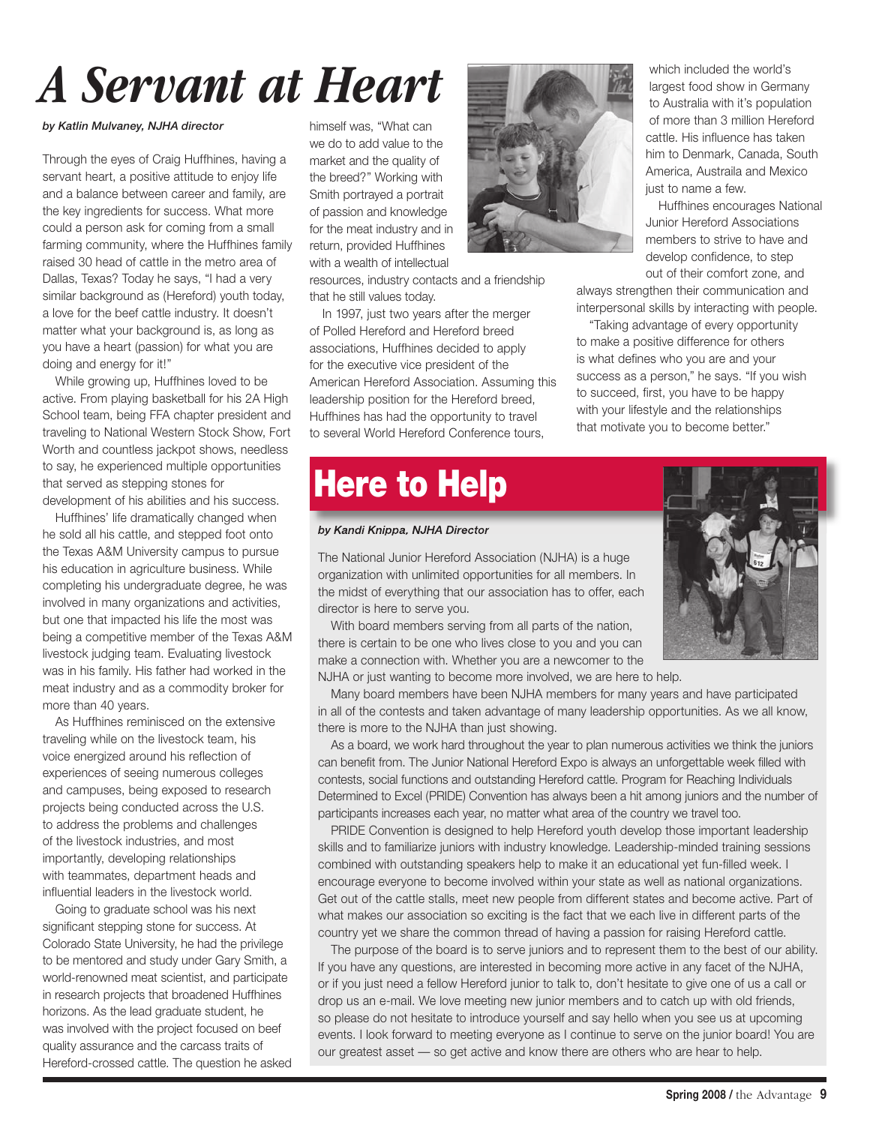# *A Servant at Heart*

### *by Katlin Mulvaney, NJHA director*

Through the eyes of Craig Huffhines, having a servant heart, a positive attitude to enjoy life and a balance between career and family, are the key ingredients for success. What more could a person ask for coming from a small farming community, where the Huffhines family raised 30 head of cattle in the metro area of Dallas, Texas? Today he says, "I had a very similar background as (Hereford) youth today, a love for the beef cattle industry. It doesn't matter what your background is, as long as you have a heart (passion) for what you are doing and energy for it!"

While growing up, Huffhines loved to be active. From playing basketball for his 2A High School team, being FFA chapter president and traveling to National Western Stock Show, Fort Worth and countless jackpot shows, needless to say, he experienced multiple opportunities that served as stepping stones for development of his abilities and his success.

Huffhines' life dramatically changed when he sold all his cattle, and stepped foot onto the Texas A&M University campus to pursue his education in agriculture business. While completing his undergraduate degree, he was involved in many organizations and activities, but one that impacted his life the most was being a competitive member of the Texas A&M livestock judging team. Evaluating livestock was in his family. His father had worked in the meat industry and as a commodity broker for more than 40 years.

As Huffhines reminisced on the extensive traveling while on the livestock team, his voice energized around his reflection of experiences of seeing numerous colleges and campuses, being exposed to research projects being conducted across the U.S. to address the problems and challenges of the livestock industries, and most importantly, developing relationships with teammates, department heads and influential leaders in the livestock world.

Going to graduate school was his next significant stepping stone for success. At Colorado State University, he had the privilege to be mentored and study under Gary Smith, a world-renowned meat scientist, and participate in research projects that broadened Huffhines horizons. As the lead graduate student, he was involved with the project focused on beef quality assurance and the carcass traits of Hereford-crossed cattle. The question he asked himself was, "What can we do to add value to the market and the quality of the breed?" Working with Smith portrayed a portrait of passion and knowledge for the meat industry and in return, provided Huffhines with a wealth of intellectual

resources, industry contacts and a friendship that he still values today.

In 1997, just two years after the merger of Polled Hereford and Hereford breed associations, Huffhines decided to apply for the executive vice president of the American Hereford Association. Assuming this leadership position for the Hereford breed, Huffhines has had the opportunity to travel to several World Hereford Conference tours,

## **Here to Help**

#### *by Kandi Knippa, NJHA Director*

The National Junior Hereford Association (NJHA) is a huge organization with unlimited opportunities for all members. In the midst of everything that our association has to offer, each director is here to serve you.

With board members serving from all parts of the nation, there is certain to be one who lives close to you and you can make a connection with. Whether you are a newcomer to the NJHA or just wanting to become more involved, we are here to help.

Many board members have been NJHA members for many years and have participated in all of the contests and taken advantage of many leadership opportunities. As we all know, there is more to the NJHA than just showing.

As a board, we work hard throughout the year to plan numerous activities we think the juniors can benefit from. The Junior National Hereford Expo is always an unforgettable week filled with contests, social functions and outstanding Hereford cattle. Program for Reaching Individuals Determined to Excel (PRIDE) Convention has always been a hit among juniors and the number of participants increases each year, no matter what area of the country we travel too.

PRIDE Convention is designed to help Hereford youth develop those important leadership skills and to familiarize juniors with industry knowledge. Leadership-minded training sessions combined with outstanding speakers help to make it an educational yet fun-filled week. I encourage everyone to become involved within your state as well as national organizations. Get out of the cattle stalls, meet new people from different states and become active. Part of what makes our association so exciting is the fact that we each live in different parts of the country yet we share the common thread of having a passion for raising Hereford cattle.

The purpose of the board is to serve juniors and to represent them to the best of our ability. If you have any questions, are interested in becoming more active in any facet of the NJHA, or if you just need a fellow Hereford junior to talk to, don't hesitate to give one of us a call or drop us an e-mail. We love meeting new junior members and to catch up with old friends, so please do not hesitate to introduce yourself and say hello when you see us at upcoming events. I look forward to meeting everyone as I continue to serve on the junior board! You are our greatest asset — so get active and know there are others who are hear to help.

which included the world's largest food show in Germany to Australia with it's population of more than 3 million Hereford cattle. His influence has taken him to Denmark, Canada, South America, Austraila and Mexico just to name a few.

Huffhines encourages National Junior Hereford Associations members to strive to have and develop confidence, to step out of their comfort zone, and

always strengthen their communication and interpersonal skills by interacting with people.

"Taking advantage of every opportunity to make a positive difference for others is what defines who you are and your success as a person," he says. "If you wish to succeed, first, you have to be happy with your lifestyle and the relationships that motivate you to become better."



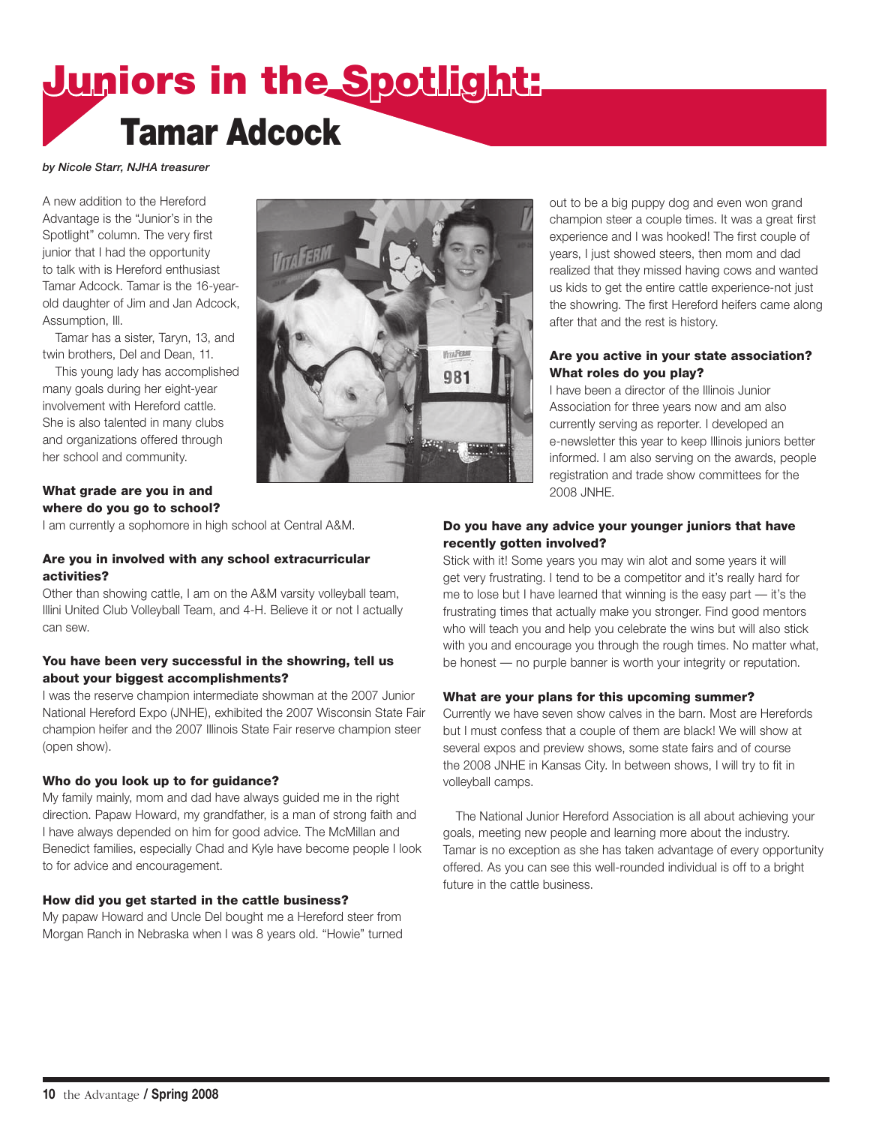## Juniors in the Spotlight: Tamar Adcock

#### *by Nicole Starr, NJHA treasurer*

A new addition to the Hereford Advantage is the "Junior's in the Spotlight" column. The very first junior that I had the opportunity to talk with is Hereford enthusiast Tamar Adcock. Tamar is the 16-yearold daughter of Jim and Jan Adcock, Assumption, Ill.

Tamar has a sister, Taryn, 13, and twin brothers, Del and Dean, 11.

This young lady has accomplished many goals during her eight-year involvement with Hereford cattle. She is also talented in many clubs and organizations offered through her school and community.

### What grade are you in and where do you go to school?

I am currently a sophomore in high school at Central A&M.

### Are you in involved with any school extracurricular activities?

Other than showing cattle, I am on the A&M varsity volleyball team, Illini United Club Volleyball Team, and 4-H. Believe it or not I actually can sew.

### You have been very successful in the showring, tell us about your biggest accomplishments?

I was the reserve champion intermediate showman at the 2007 Junior National Hereford Expo (JNHE), exhibited the 2007 Wisconsin State Fair champion heifer and the 2007 Illinois State Fair reserve champion steer (open show).

### Who do you look up to for guidance?

My family mainly, mom and dad have always guided me in the right direction. Papaw Howard, my grandfather, is a man of strong faith and I have always depended on him for good advice. The McMillan and Benedict families, especially Chad and Kyle have become people I look to for advice and encouragement.

### How did you get started in the cattle business?

My papaw Howard and Uncle Del bought me a Hereford steer from Morgan Ranch in Nebraska when I was 8 years old. "Howie" turned



out to be a big puppy dog and even won grand champion steer a couple times. It was a great first experience and I was hooked! The first couple of years, I just showed steers, then mom and dad realized that they missed having cows and wanted us kids to get the entire cattle experience-not just the showring. The first Hereford heifers came along after that and the rest is history.

### Are you active in your state association? What roles do you play?

I have been a director of the Illinois Junior Association for three years now and am also currently serving as reporter. I developed an e-newsletter this year to keep Illinois juniors better informed. I am also serving on the awards, people registration and trade show committees for the 2008 JNHE.

### Do you have any advice your younger juniors that have recently gotten involved?

Stick with it! Some years you may win alot and some years it will get very frustrating. I tend to be a competitor and it's really hard for me to lose but I have learned that winning is the easy part — it's the frustrating times that actually make you stronger. Find good mentors who will teach you and help you celebrate the wins but will also stick with you and encourage you through the rough times. No matter what, be honest — no purple banner is worth your integrity or reputation.

### What are your plans for this upcoming summer?

Currently we have seven show calves in the barn. Most are Herefords but I must confess that a couple of them are black! We will show at several expos and preview shows, some state fairs and of course the 2008 JNHE in Kansas City. In between shows, I will try to fit in volleyball camps.

The National Junior Hereford Association is all about achieving your goals, meeting new people and learning more about the industry. Tamar is no exception as she has taken advantage of every opportunity offered. As you can see this well-rounded individual is off to a bright future in the cattle business.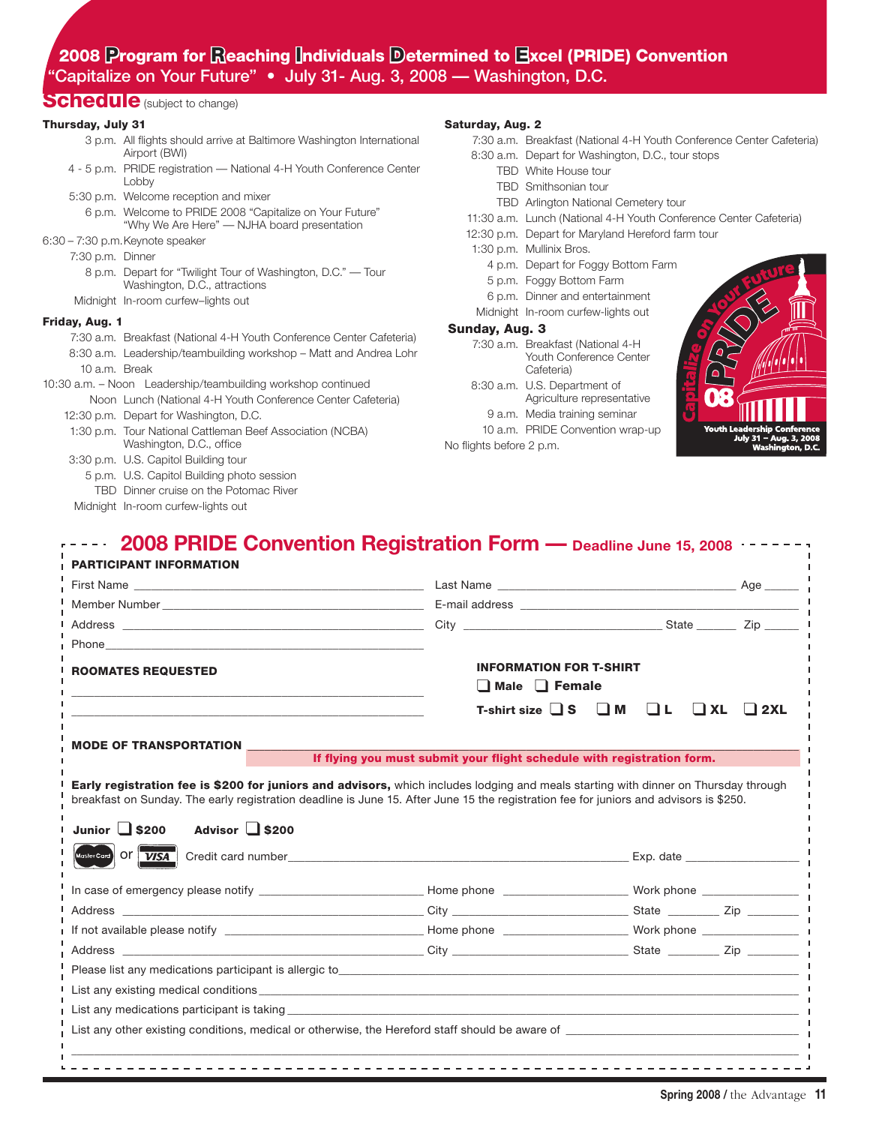### 2008 Program for Reaching Individuals Determined to Excel (PRIDE) Convention "Capitalize on Your Future" • July 31- Aug. 3, 2008 — Washington, D.C.

### Schedule (subject to change)

### Thursday, July 31

- 3 p.m. All flights should arrive at Baltimore Washington International Airport (BWI) 4 - 5 p.m. PRIDE registration — National 4-H Youth Conference Center
- Lobby
- 5:30 p.m. Welcome reception and mixer 6 p.m. Welcome to PRIDE 2008 "Capitalize on Your Future" "Why We Are Here" — NJHA board presentation
- 6:30 7:30 p.m.Keynote speaker
	- 7:30 p.m. Dinner
		- 8 p.m. Depart for "Twilight Tour of Washington, D.C." Tour Washington, D.C., attractions
	- Midnight In-room curfew–lights out

### Friday, Aug. 1

- 7:30 a.m. Breakfast (National 4-H Youth Conference Center Cafeteria) 8:30 a.m. Leadership/teambuilding workshop – Matt and Andrea Lohr 10 a.m. Break
- 10:30 a.m. Noon Leadership/teambuilding workshop continued Noon Lunch (National 4-H Youth Conference Center Cafeteria) 12:30 p.m. Depart for Washington, D.C.
	- 1:30 p.m. Tour National Cattleman Beef Association (NCBA) Washington, D.C., office
	- 3:30 p.m. U.S. Capitol Building tour
		- 5 p.m. U.S. Capitol Building photo session
		- TBD Dinner cruise on the Potomac River
	- Midnight In-room curfew-lights out

### Saturday, Aug. 2

- 7:30 a.m. Breakfast (National 4-H Youth Conference Center Cafeteria) 8:30 a.m. Depart for Washington, D.C., tour stops TBD White House tour TBD Smithsonian tour TBD Arlington National Cemetery tour 11:30 a.m. Lunch (National 4-H Youth Conference Center Cafeteria) 12:30 p.m. Depart for Maryland Hereford farm tour 1:30 p.m. Mullinix Bros. 4 p.m. Depart for Foggy Bottom Farm 5 p.m. Foggy Bottom Farm 6 p.m. Dinner and entertainment Midnight In-room curfew-lights out Sunday, Aug. 3 7:30 a.m. Breakfast (National 4-H Youth Conference Center Cafeteria) 8:30 a.m. U.S. Department of
	- Agriculture representative 9 a.m. Media training seminar
	- 10 a.m. PRIDE Convention wrap-up

No flights before 2 p.m.



| <b>ROOMATES REQUESTED</b>                                                                                                                                                                                                                                                                                                                                                                                                                                                                                                                                                                     | <b>INFORMATION FOR T-SHIRT</b><br>$\Box$ Male $\Box$ Female            |  |  |           |            |
|-----------------------------------------------------------------------------------------------------------------------------------------------------------------------------------------------------------------------------------------------------------------------------------------------------------------------------------------------------------------------------------------------------------------------------------------------------------------------------------------------------------------------------------------------------------------------------------------------|------------------------------------------------------------------------|--|--|-----------|------------|
|                                                                                                                                                                                                                                                                                                                                                                                                                                                                                                                                                                                               | T-shirt size $\Box$ S $\Box$ M $\Box$ L                                |  |  | $\Box$ XL | $\Box$ 2XL |
|                                                                                                                                                                                                                                                                                                                                                                                                                                                                                                                                                                                               |                                                                        |  |  |           |            |
|                                                                                                                                                                                                                                                                                                                                                                                                                                                                                                                                                                                               | If flying you must submit your flight schedule with registration form. |  |  |           |            |
| Advisor $\Box$ \$200                                                                                                                                                                                                                                                                                                                                                                                                                                                                                                                                                                          |                                                                        |  |  |           |            |
|                                                                                                                                                                                                                                                                                                                                                                                                                                                                                                                                                                                               | Credit card number <b>EXP.</b> Credit card number                      |  |  |           |            |
|                                                                                                                                                                                                                                                                                                                                                                                                                                                                                                                                                                                               |                                                                        |  |  |           |            |
|                                                                                                                                                                                                                                                                                                                                                                                                                                                                                                                                                                                               |                                                                        |  |  |           |            |
|                                                                                                                                                                                                                                                                                                                                                                                                                                                                                                                                                                                               |                                                                        |  |  |           |            |
|                                                                                                                                                                                                                                                                                                                                                                                                                                                                                                                                                                                               |                                                                        |  |  |           |            |
| <b>MODE OF TRANSPORTATION</b><br>Early registration fee is \$200 for juniors and advisors, which includes lodging and meals starting with dinner on Thursday through<br>breakfast on Sunday. The early registration deadline is June 15. After June 15 the registration fee for juniors and advisors is \$250.<br>Junior $\Box$ \$200<br>MasterCard Of VISA<br>Please list any medications participant is allergic to entropy and the control of the control of the control of the control of the control of the control of the control of the control of the control of the control of the c |                                                                        |  |  |           |            |

 $\_$  , and the set of the set of the set of the set of the set of the set of the set of the set of the set of the set of the set of the set of the set of the set of the set of the set of the set of the set of the set of th